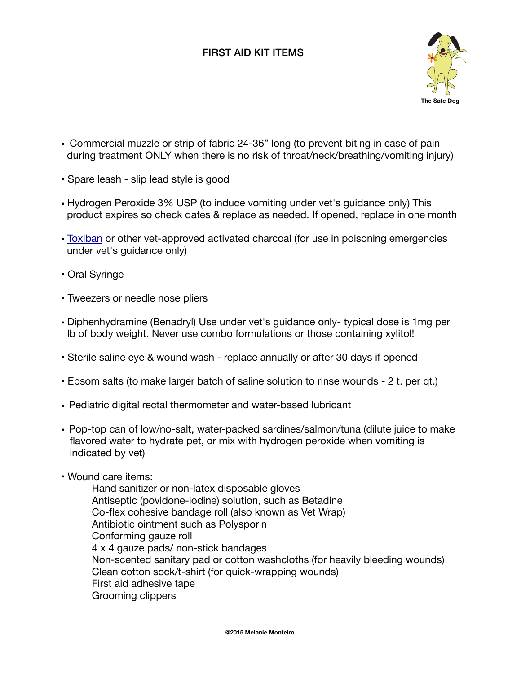## FIRST AID KIT ITEMS



- Commercial muzzle or strip of fabric 24-36" long (to prevent biting in case of pain during treatment ONLY when there is no risk of throat/neck/breathing/vomiting injury)
- Spare leash slip lead style is good
- Hydrogen Peroxide 3% USP (to induce vomiting under vet's guidance only) This product expires so check dates & replace as needed. If opened, replace in one month
- [Toxiban](http://www.jefferspet.com/products/toxiban-240ml) or other vet-approved activated charcoal (for use in poisoning emergencies under vet's guidance only)
- Oral Syringe
- Tweezers or needle nose pliers
- Diphenhydramine (Benadryl) Use under vet's guidance only- typical dose is 1mg per lb of body weight. Never use combo formulations or those containing xylitol!
- Sterile saline eye & wound wash replace annually or after 30 days if opened
- Epsom salts (to make larger batch of saline solution to rinse wounds 2 t. per qt.)
- Pediatric digital rectal thermometer and water-based lubricant
- Pop-top can of low/no-salt, water-packed sardines/salmon/tuna (dilute juice to make flavored water to hydrate pet, or mix with hydrogen peroxide when vomiting is indicated by vet)
- Wound care items:

Hand sanitizer or non-latex disposable gloves Antiseptic (povidone-iodine) solution, such as Betadine Co-flex cohesive bandage roll (also known as Vet Wrap) Antibiotic ointment such as Polysporin Conforming gauze roll 4 x 4 gauze pads/ non-stick bandages Non-scented sanitary pad or cotton washcloths (for heavily bleeding wounds) Clean cotton sock/t-shirt (for quick-wrapping wounds) First aid adhesive tape Grooming clippers